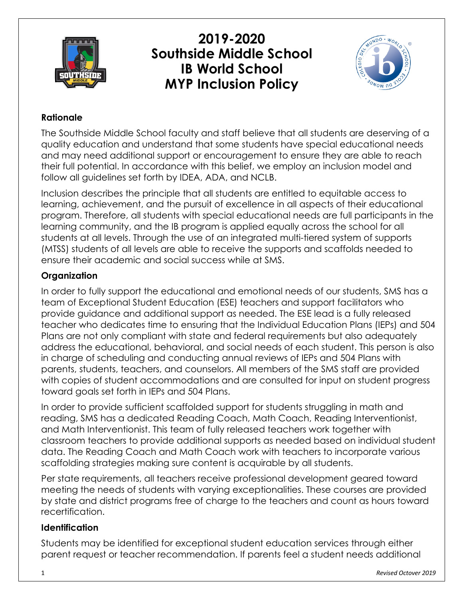

**2019-2020 Southside Middle School IB World School MYP Inclusion Policy**



## **Rationale**

The Southside Middle School faculty and staff believe that all students are deserving of a quality education and understand that some students have special educational needs and may need additional support or encouragement to ensure they are able to reach their full potential. In accordance with this belief, we employ an inclusion model and follow all guidelines set forth by IDEA, ADA, and NCLB.

Inclusion describes the principle that all students are entitled to equitable access to learning, achievement, and the pursuit of excellence in all aspects of their educational program. Therefore, all students with special educational needs are full participants in the learning community, and the IB program is applied equally across the school for all students at all levels. Through the use of an integrated multi-tiered system of supports (MTSS) students of all levels are able to receive the supports and scaffolds needed to ensure their academic and social success while at SMS.

# **Organization**

In order to fully support the educational and emotional needs of our students, SMS has a team of Exceptional Student Education (ESE) teachers and support facilitators who provide guidance and additional support as needed. The ESE lead is a fully released teacher who dedicates time to ensuring that the Individual Education Plans (IEPs) and 504 Plans are not only compliant with state and federal requirements but also adequately address the educational, behavioral, and social needs of each student. This person is also in charge of scheduling and conducting annual reviews of IEPs and 504 Plans with parents, students, teachers, and counselors. All members of the SMS staff are provided with copies of student accommodations and are consulted for input on student progress toward goals set forth in IEPs and 504 Plans.

In order to provide sufficient scaffolded support for students struggling in math and reading, SMS has a dedicated Reading Coach, Math Coach, Reading Interventionist, and Math Interventionist. This team of fully released teachers work together with classroom teachers to provide additional supports as needed based on individual student data. The Reading Coach and Math Coach work with teachers to incorporate various scaffolding strategies making sure content is acquirable by all students.

Per state requirements, all teachers receive professional development geared toward meeting the needs of students with varying exceptionalities. These courses are provided by state and district programs free of charge to the teachers and count as hours toward recertification.

### **Identification**

Students may be identified for exceptional student education services through either parent request or teacher recommendation. If parents feel a student needs additional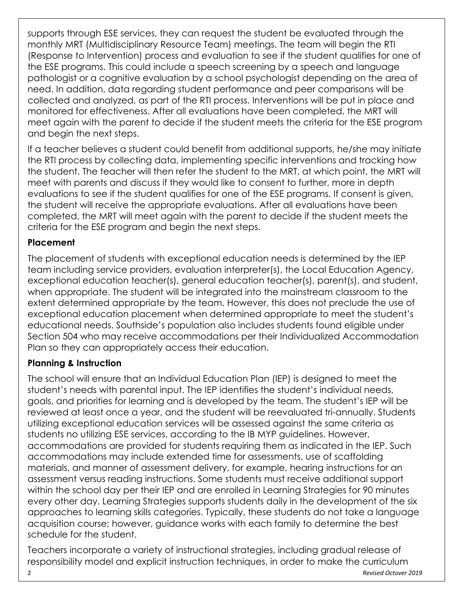supports through ESE services, they can request the student be evaluated through the monthly MRT (Multidisciplinary Resource Team) meetings. The team will begin the RTI (Response to Intervention) process and evaluation to see if the student qualifies for one of the ESE programs. This could include a speech screening by a speech and language pathologist or a cognitive evaluation by a school psychologist depending on the area of need. In addition, data regarding student performance and peer comparisons will be collected and analyzed, as part of the RTI process. Interventions will be put in place and monitored for effectiveness. After all evaluations have been completed, the MRT will meet again with the parent to decide if the student meets the criteria for the ESE program and begin the next steps.

If a teacher believes a student could benefit from additional supports, he/she may initiate the RTI process by collecting data, implementing specific interventions and tracking how the student. The teacher will then refer the student to the MRT, at which point, the MRT will meet with parents and discuss if they would like to consent to further, more in depth evaluations to see if the student qualifies for one of the ESE programs. If consent is given, the student will receive the appropriate evaluations. After all evaluations have been completed, the MRT will meet again with the parent to decide if the student meets the criteria for the ESE program and begin the next steps.

### **Placement**

The placement of students with exceptional education needs is determined by the IEP team including service providers, evaluation interpreter(s), the Local Education Agency, exceptional education teacher(s), general education teacher(s), parent(s), and student, when appropriate. The student will be integrated into the mainstream classroom to the extent determined appropriate by the team. However, this does not preclude the use of exceptional education placement when determined appropriate to meet the student's educational needs. Southside's population also includes students found eligible under Section 504 who may receive accommodations per their Individualized Accommodation Plan so they can appropriately access their education.

### **Planning & Instruction**

The school will ensure that an Individual Education Plan (IEP) is designed to meet the student's needs with parental input. The IEP identifies the student's individual needs, goals, and priorities for learning and is developed by the team. The student's IEP will be reviewed at least once a year, and the student will be reevaluated tri-annually. Students utilizing exceptional education services will be assessed against the same criteria as students no utilizing ESE services, according to the IB MYP guidelines. However, accommodations are provided for students requiring them as indicated in the IEP. Such accommodations may include extended time for assessments, use of scaffolding materials, and manner of assessment delivery, for example, hearing instructions for an assessment versus reading instructions. Some students must receive additional support within the school day per their IEP and are enrolled in Learning Strategies for 90 minutes every other day. Learning Strategies supports students daily in the development of the six approaches to learning skills categories. Typically, these students do not take a language acquisition course; however, guidance works with each family to determine the best schedule for the student.

Teachers incorporate a variety of instructional strategies, including gradual release of responsibility model and explicit instruction techniques, in order to make the curriculum